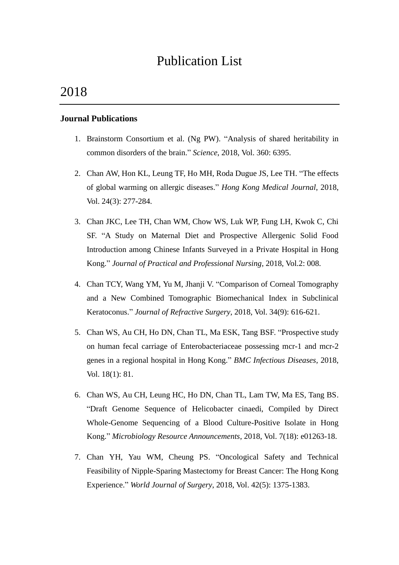# Publication List

# 2018

### **Journal Publications**

- 1. Brainstorm Consortium et al. (Ng PW). "Analysis of shared heritability in common disorders of the brain." *Science*, 2018, Vol. 360: 6395.
- 2. Chan AW, Hon KL, Leung TF, Ho MH, Roda Dugue JS, Lee TH. "The effects of global warming on allergic diseases." *Hong Kong Medical Journal*, 2018, Vol. 24(3): 277-284.
- 3. Chan JKC, Lee TH, Chan WM, Chow WS, Luk WP, Fung LH, Kwok C, Chi SF. "A Study on Maternal Diet and Prospective Allergenic Solid Food Introduction among Chinese Infants Surveyed in a Private Hospital in Hong Kong." *Journal of Practical and Professional Nursing*, 2018, Vol.2: 008.
- 4. Chan TCY, Wang YM, Yu M, Jhanji V. "Comparison of Corneal Tomography and a New Combined Tomographic Biomechanical Index in Subclinical Keratoconus." *Journal of Refractive Surgery*, 2018, Vol. 34(9): 616-621.
- 5. Chan WS, Au CH, Ho DN, Chan TL, Ma ESK, Tang BSF. "Prospective study on human fecal carriage of Enterobacteriaceae possessing mcr-1 and mcr-2 genes in a regional hospital in Hong Kong." *BMC Infectious Diseases*, 2018, Vol. 18(1): 81.
- 6. Chan WS, Au CH, Leung HC, Ho DN, Chan TL, Lam TW, Ma ES, Tang BS. "Draft Genome Sequence of Helicobacter cinaedi, Compiled by Direct Whole-Genome Sequencing of a Blood Culture-Positive Isolate in Hong Kong." *Microbiology Resource Announcements*, 2018, Vol. 7(18): e01263-18.
- 7. Chan YH, Yau WM, Cheung PS. "Oncological Safety and Technical Feasibility of Nipple-Sparing Mastectomy for Breast Cancer: The Hong Kong Experience." *World Journal of Surgery*, 2018, Vol. 42(5): 1375-1383.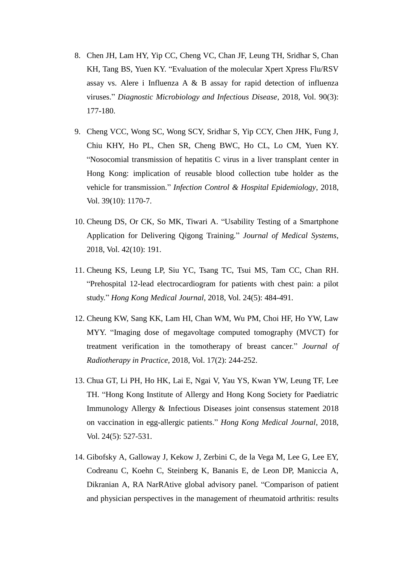- 8. Chen JH, Lam HY, Yip CC, Cheng VC, Chan JF, Leung TH, Sridhar S, Chan KH, Tang BS, Yuen KY. "Evaluation of the molecular Xpert Xpress Flu/RSV assay vs. Alere i Influenza A & B assay for rapid detection of influenza viruses." *Diagnostic Microbiology and Infectious Disease*, 2018, Vol. 90(3): 177-180.
- 9. Cheng VCC, Wong SC, Wong SCY, Sridhar S, Yip CCY, Chen JHK, Fung J, Chiu KHY, Ho PL, Chen SR, Cheng BWC, Ho CL, Lo CM, Yuen KY. "Nosocomial transmission of hepatitis C virus in a liver transplant center in Hong Kong: implication of reusable blood collection tube holder as the vehicle for transmission." *Infection Control & Hospital Epidemiology*, 2018, Vol. 39(10): 1170-7.
- 10. Cheung DS, Or CK, So MK, Tiwari A. "Usability Testing of a Smartphone Application for Delivering Qigong Training." *Journal of Medical Systems*, 2018, Vol. 42(10): 191.
- 11. Cheung KS, Leung LP, Siu YC, Tsang TC, Tsui MS, Tam CC, Chan RH. "Prehospital 12-lead electrocardiogram for patients with chest pain: a pilot study." *Hong Kong Medical Journal*, 2018, Vol. 24(5): 484-491.
- 12. Cheung KW, Sang KK, Lam HI, Chan WM, Wu PM, Choi HF, Ho YW, Law MYY. "Imaging dose of megavoltage computed tomography (MVCT) for treatment verification in the tomotherapy of breast cancer." *Journal of Radiotherapy in Practice*, 2018, Vol. 17(2): 244-252.
- 13. Chua GT, Li PH, Ho HK, Lai E, Ngai V, Yau YS, Kwan YW, Leung TF, Lee TH. "Hong Kong Institute of Allergy and Hong Kong Society for Paediatric Immunology Allergy & Infectious Diseases joint consensus statement 2018 on vaccination in egg-allergic patients." *Hong Kong Medical Journal*, 2018, Vol. 24(5): 527-531.
- 14. Gibofsky A, Galloway J, Kekow J, Zerbini C, de la Vega M, Lee G, Lee EY, Codreanu C, Koehn C, Steinberg K, Bananis E, de Leon DP, Maniccia A, Dikranian A, RA NarRAtive global advisory panel. "Comparison of patient and physician perspectives in the management of rheumatoid arthritis: results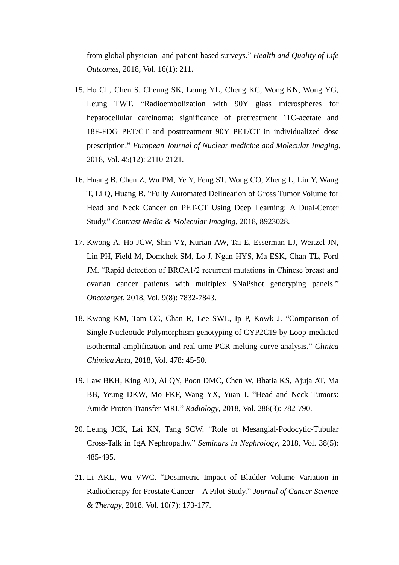from global physician- and patient-based surveys." *Health and Quality of Life Outcomes*, 2018, Vol. 16(1): 211.

- 15. Ho CL, Chen S, Cheung SK, Leung YL, Cheng KC, Wong KN, Wong YG, Leung TWT. "Radioembolization with 90Y glass microspheres for hepatocellular carcinoma: significance of pretreatment 11C-acetate and 18F-FDG PET/CT and posttreatment 90Y PET/CT in individualized dose prescription." *European Journal of Nuclear medicine and Molecular Imaging*, 2018, Vol. 45(12): 2110-2121.
- 16. Huang B, Chen Z, Wu PM, Ye Y, Feng ST, Wong CO, Zheng L, Liu Y, Wang T, Li Q, Huang B. "Fully Automated Delineation of Gross Tumor Volume for Head and Neck Cancer on PET-CT Using Deep Learning: A Dual-Center Study." *Contrast Media & Molecular Imaging*, 2018, 8923028.
- 17. Kwong A, Ho JCW, Shin VY, Kurian AW, Tai E, Esserman LJ, Weitzel JN, Lin PH, Field M, Domchek SM, Lo J, Ngan HYS, Ma ESK, Chan TL, Ford JM. "Rapid detection of BRCA1/2 recurrent mutations in Chinese breast and ovarian cancer patients with multiplex SNaPshot genotyping panels." *Oncotarget*, 2018, Vol. 9(8): 7832-7843.
- 18. Kwong KM, Tam CC, Chan R, Lee SWL, Ip P, Kowk J. "Comparison of Single Nucleotide Polymorphism genotyping of CYP2C19 by Loop-mediated isothermal amplification and real-time PCR melting curve analysis." *Clinica Chimica Acta*, 2018, Vol. 478: 45-50.
- 19. Law BKH, King AD, Ai QY, Poon DMC, Chen W, Bhatia KS, Ajuja AT, Ma BB, Yeung DKW, Mo FKF, Wang YX, Yuan J. "Head and Neck Tumors: Amide Proton Transfer MRI." *Radiology*, 2018, Vol. 288(3): 782-790.
- 20. Leung JCK, Lai KN, Tang SCW. "Role of Mesangial-Podocytic-Tubular Cross-Talk in IgA Nephropathy." *Seminars in Nephrology*, 2018, Vol. 38(5): 485-495.
- 21. Li AKL, Wu VWC. "Dosimetric Impact of Bladder Volume Variation in Radiotherapy for Prostate Cancer – A Pilot Study." *Journal of Cancer Science & Therapy*, 2018, Vol. 10(7): 173-177.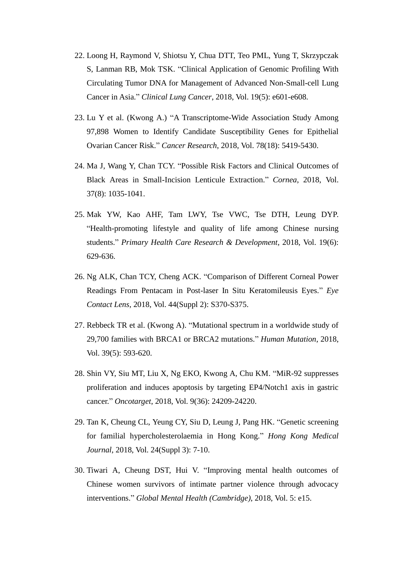- 22. Loong H, Raymond V, Shiotsu Y, Chua DTT, Teo PML, Yung T, Skrzypczak S, Lanman RB, Mok TSK. "Clinical Application of Genomic Profiling With Circulating Tumor DNA for Management of Advanced Non-Small-cell Lung Cancer in Asia." *Clinical Lung Cancer*, 2018, Vol. 19(5): e601-e608.
- 23. Lu Y et al. (Kwong A.) "A Transcriptome-Wide Association Study Among 97,898 Women to Identify Candidate Susceptibility Genes for Epithelial Ovarian Cancer Risk." *Cancer Research*, 2018, Vol. 78(18): 5419-5430.
- 24. Ma J, Wang Y, Chan TCY. "Possible Risk Factors and Clinical Outcomes of Black Areas in Small-Incision Lenticule Extraction." *Cornea*, 2018, Vol. 37(8): 1035-1041.
- 25. Mak YW, Kao AHF, Tam LWY, Tse VWC, Tse DTH, Leung DYP. "Health-promoting lifestyle and quality of life among Chinese nursing students." *Primary Health Care Research & Development*, 2018, Vol. 19(6): 629-636.
- 26. Ng ALK, Chan TCY, Cheng ACK. "Comparison of Different Corneal Power Readings From Pentacam in Post-laser In Situ Keratomileusis Eyes." *Eye Contact Lens*, 2018, Vol. 44(Suppl 2): S370-S375.
- 27. Rebbeck TR et al. (Kwong A). "Mutational spectrum in a worldwide study of 29,700 families with BRCA1 or BRCA2 mutations." *Human Mutation*, 2018, Vol. 39(5): 593-620.
- 28. Shin VY, Siu MT, Liu X, Ng EKO, Kwong A, Chu KM. "MiR-92 suppresses proliferation and induces apoptosis by targeting EP4/Notch1 axis in gastric cancer." *Oncotarget*, 2018, Vol. 9(36): 24209-24220.
- 29. Tan K, Cheung CL, Yeung CY, Siu D, Leung J, Pang HK. "Genetic screening for familial hypercholesterolaemia in Hong Kong." *Hong Kong Medical Journal*, 2018, Vol. 24(Suppl 3): 7-10.
- 30. Tiwari A, Cheung DST, Hui V. "Improving mental health outcomes of Chinese women survivors of intimate partner violence through advocacy interventions." *Global Mental Health (Cambridge)*, 2018, Vol. 5: e15.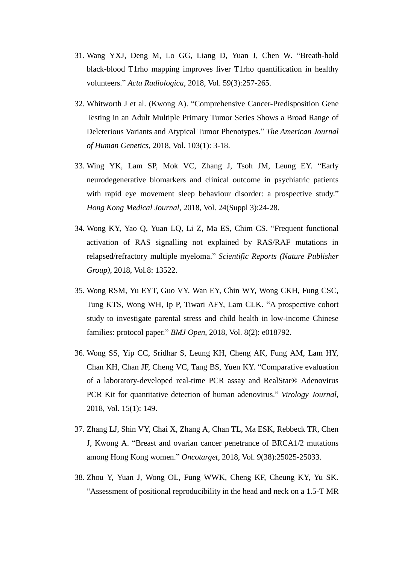- 31. Wang YXJ, Deng M, Lo GG, Liang D, Yuan J, Chen W. "Breath-hold black-blood T1rho mapping improves liver T1rho quantification in healthy volunteers." *Acta Radiologica*, 2018, Vol. 59(3):257-265.
- 32. Whitworth J et al. (Kwong A). "Comprehensive Cancer-Predisposition Gene Testing in an Adult Multiple Primary Tumor Series Shows a Broad Range of Deleterious Variants and Atypical Tumor Phenotypes." *The American Journal of Human Genetics*, 2018, Vol. 103(1): 3-18.
- 33. Wing YK, Lam SP, Mok VC, Zhang J, Tsoh JM, Leung EY. "Early neurodegenerative biomarkers and clinical outcome in psychiatric patients with rapid eye movement sleep behaviour disorder: a prospective study." *Hong Kong Medical Journal*, 2018, Vol. 24(Suppl 3):24-28.
- 34. Wong KY, Yao Q, Yuan LQ, Li Z, Ma ES, Chim CS. "Frequent functional activation of RAS signalling not explained by RAS/RAF mutations in relapsed/refractory multiple myeloma." *Scientific Reports (Nature Publisher Group)*, 2018, Vol.8: 13522.
- 35. Wong RSM, Yu EYT, Guo VY, Wan EY, Chin WY, Wong CKH, Fung CSC, Tung KTS, Wong WH, Ip P, Tiwari AFY, Lam CLK. "A prospective cohort study to investigate parental stress and child health in low-income Chinese families: protocol paper." *BMJ Open*, 2018, Vol. 8(2): e018792.
- 36. Wong SS, Yip CC, Sridhar S, Leung KH, Cheng AK, Fung AM, Lam HY, Chan KH, Chan JF, Cheng VC, Tang BS, Yuen KY. "Comparative evaluation of a laboratory-developed real-time PCR assay and RealStar® Adenovirus PCR Kit for quantitative detection of human adenovirus." *Virology Journal*, 2018, Vol. 15(1): 149.
- 37. Zhang LJ, Shin VY, Chai X, Zhang A, Chan TL, Ma ESK, Rebbeck TR, Chen J, Kwong A. "Breast and ovarian cancer penetrance of BRCA1/2 mutations among Hong Kong women." *Oncotarget*, 2018, Vol. 9(38):25025-25033.
- 38. Zhou Y, Yuan J, Wong OL, Fung WWK, Cheng KF, Cheung KY, Yu SK. "Assessment of positional reproducibility in the head and neck on a 1.5-T MR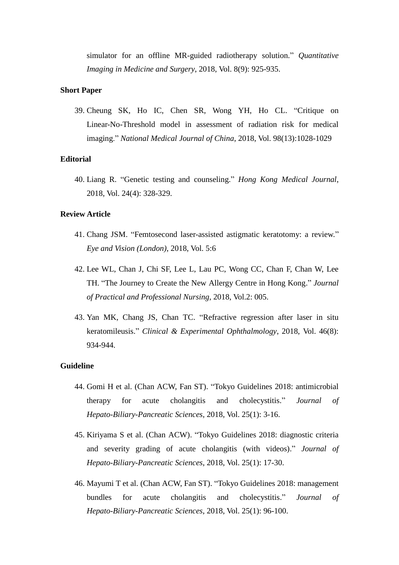simulator for an offline MR-guided radiotherapy solution." *Quantitative Imaging in Medicine and Surgery*, 2018, Vol. 8(9): 925-935.

#### **Short Paper**

39. Cheung SK, Ho IC, Chen SR, Wong YH, Ho CL. "Critique on Linear-No-Threshold model in assessment of radiation risk for medical imaging." *National Medical Journal of China*, 2018, Vol. 98(13):1028-1029

#### **Editorial**

40. Liang R. "Genetic testing and counseling." *Hong Kong Medical Journal*, 2018, Vol. 24(4): 328-329.

#### **Review Article**

- 41. Chang JSM. "Femtosecond laser-assisted astigmatic keratotomy: a review." *Eye and Vision (London)*, 2018, Vol. 5:6
- 42. Lee WL, Chan J, Chi SF, Lee L, Lau PC, Wong CC, Chan F, Chan W, Lee TH. "The Journey to Create the New Allergy Centre in Hong Kong." *Journal of Practical and Professional Nursing*, 2018, Vol.2: 005.
- 43. Yan MK, Chang JS, Chan TC. "Refractive regression after laser in situ keratomileusis." *Clinical & Experimental Ophthalmology*, 2018, Vol. 46(8): 934-944.

#### **Guideline**

- 44. Gomi H et al. (Chan ACW, Fan ST). "Tokyo Guidelines 2018: antimicrobial therapy for acute cholangitis and cholecystitis." *Journal of Hepato-Biliary-Pancreatic Sciences*, 2018, Vol. 25(1): 3-16.
- 45. Kiriyama S et al. (Chan ACW). "Tokyo Guidelines 2018: diagnostic criteria and severity grading of acute cholangitis (with videos)." *Journal of Hepato-Biliary-Pancreatic Sciences*, 2018, Vol. 25(1): 17-30.
- 46. Mayumi T et al. (Chan ACW, Fan ST). "Tokyo Guidelines 2018: management bundles for acute cholangitis and cholecystitis." *Journal of Hepato-Biliary-Pancreatic Sciences*, 2018, Vol. 25(1): 96-100.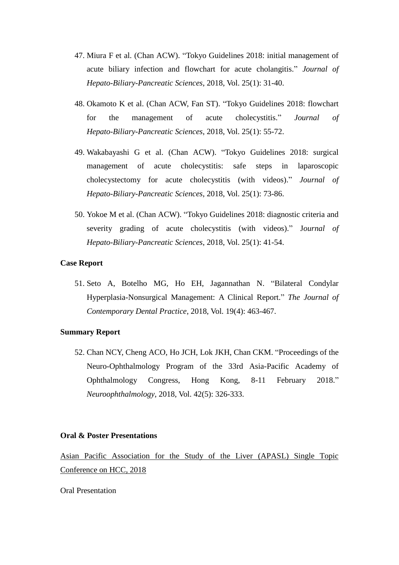- 47. Miura F et al. (Chan ACW). "Tokyo Guidelines 2018: initial management of acute biliary infection and flowchart for acute cholangitis." *Journal of Hepato-Biliary-Pancreatic Sciences*, 2018, Vol. 25(1): 31-40.
- 48. Okamoto K et al. (Chan ACW, Fan ST). "Tokyo Guidelines 2018: flowchart for the management of acute cholecystitis." *Journal of Hepato-Biliary-Pancreatic Sciences*, 2018, Vol. 25(1): 55-72.
- 49. Wakabayashi G et al. (Chan ACW). "Tokyo Guidelines 2018: surgical management of acute cholecystitis: safe steps in laparoscopic cholecystectomy for acute cholecystitis (with videos)." *Journal of Hepato-Biliary-Pancreatic Sciences*, 2018, Vol. 25(1): 73-86.
- 50. Yokoe M et al. (Chan ACW). "Tokyo Guidelines 2018: diagnostic criteria and severity grading of acute cholecystitis (with videos)." J*ournal of Hepato-Biliary-Pancreatic Sciences*, 2018, Vol. 25(1): 41-54.

#### **Case Report**

51. Seto A, Botelho MG, Ho EH, Jagannathan N. "Bilateral Condylar Hyperplasia-Nonsurgical Management: A Clinical Report." *The Journal of Contemporary Dental Practice*, 2018, Vol. 19(4): 463-467.

#### **Summary Report**

52. Chan NCY, Cheng ACO, Ho JCH, Lok JKH, Chan CKM. "Proceedings of the Neuro-Ophthalmology Program of the 33rd Asia-Pacific Academy of Ophthalmology Congress, Hong Kong, 8-11 February 2018." *Neuroophthalmology*, 2018, Vol. 42(5): 326-333.

#### **Oral & Poster Presentations**

Asian Pacific Association for the Study of the Liver (APASL) Single Topic Conference on HCC, 2018

Oral Presentation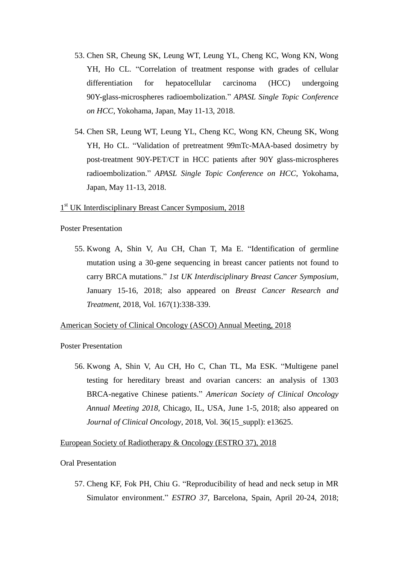- 53. Chen SR, Cheung SK, Leung WT, Leung YL, Cheng KC, Wong KN, Wong YH, Ho CL. "Correlation of treatment response with grades of cellular differentiation for hepatocellular carcinoma (HCC) undergoing 90Y-glass-microspheres radioembolization." *APASL Single Topic Conference on HCC*, Yokohama, Japan, May 11-13, 2018.
- 54. Chen SR, Leung WT, Leung YL, Cheng KC, Wong KN, Cheung SK, Wong YH, Ho CL. "Validation of pretreatment 99mTc-MAA-based dosimetry by post-treatment 90Y-PET/CT in HCC patients after 90Y glass-microspheres radioembolization." *APASL Single Topic Conference on HCC*, Yokohama, Japan, May 11-13, 2018.

# 1<sup>st</sup> UK Interdisciplinary Breast Cancer Symposium, 2018

#### Poster Presentation

55. Kwong A, Shin V, Au CH, Chan T, Ma E. "Identification of germline mutation using a 30-gene sequencing in breast cancer patients not found to carry BRCA mutations." *1st UK Interdisciplinary Breast Cancer Symposium*, January 15-16, 2018; also appeared on *Breast Cancer Research and Treatment*, 2018, Vol. 167(1):338-339.

#### American Society of Clinical Oncology (ASCO) Annual Meeting, 2018

#### Poster Presentation

56. Kwong A, Shin V, Au CH, Ho C, Chan TL, Ma ESK. "Multigene panel testing for hereditary breast and ovarian cancers: an analysis of 1303 BRCA-negative Chinese patients." *American Society of Clinical Oncology Annual Meeting 2018*, Chicago, IL, USA, June 1-5, 2018; also appeared on *Journal of Clinical Oncology*, 2018, Vol. 36(15\_suppl): e13625.

#### European Society of Radiotherapy & Oncology (ESTRO 37), 2018

#### Oral Presentation

57. Cheng KF, Fok PH, Chiu G. "Reproducibility of head and neck setup in MR Simulator environment." *ESTRO 37*, Barcelona, Spain, April 20-24, 2018;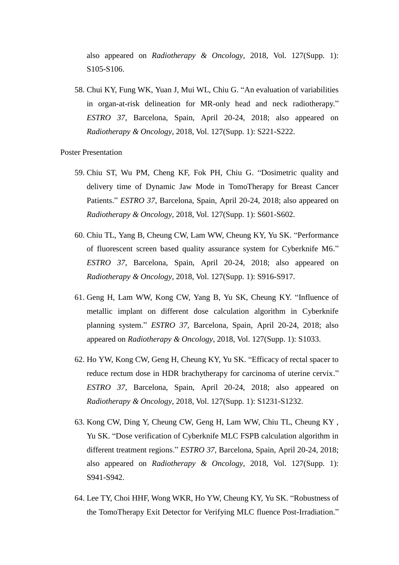also appeared on *Radiotherapy & Oncology*, 2018, Vol. 127(Supp. 1): S105-S106.

58. Chui KY, Fung WK, Yuan J, Mui WL, Chiu G. "An evaluation of variabilities in organ-at-risk delineation for MR-only head and neck radiotherapy." *ESTRO 37*, Barcelona, Spain, April 20-24, 2018; also appeared on *Radiotherapy & Oncology*, 2018, Vol. 127(Supp. 1): S221-S222.

- 59. Chiu ST, Wu PM, Cheng KF, Fok PH, Chiu G. "Dosimetric quality and delivery time of Dynamic Jaw Mode in TomoTherapy for Breast Cancer Patients." *ESTRO 37*, Barcelona, Spain, April 20-24, 2018; also appeared on *Radiotherapy & Oncology*, 2018, Vol. 127(Supp. 1): S601-S602.
- 60. Chiu TL, Yang B, Cheung CW, Lam WW, Cheung KY, Yu SK. "Performance of fluorescent screen based quality assurance system for Cyberknife M6." *ESTRO 37*, Barcelona, Spain, April 20-24, 2018; also appeared on *Radiotherapy & Oncology*, 2018, Vol. 127(Supp. 1): S916-S917.
- 61. Geng H, Lam WW, Kong CW, Yang B, Yu SK, Cheung KY. "Influence of metallic implant on different dose calculation algorithm in Cyberknife planning system." *ESTRO 37*, Barcelona, Spain, April 20-24, 2018; also appeared on *Radiotherapy & Oncology*, 2018, Vol. 127(Supp. 1): S1033.
- 62. Ho YW, Kong CW, Geng H, Cheung KY, Yu SK. "Efficacy of rectal spacer to reduce rectum dose in HDR brachytherapy for carcinoma of uterine cervix." *ESTRO 37*, Barcelona, Spain, April 20-24, 2018; also appeared on *Radiotherapy & Oncology*, 2018, Vol. 127(Supp. 1): S1231-S1232.
- 63. Kong CW, Ding Y, Cheung CW, Geng H, Lam WW, Chiu TL, Cheung KY , Yu SK. "Dose verification of Cyberknife MLC FSPB calculation algorithm in different treatment regions." *ESTRO 37*, Barcelona, Spain, April 20-24, 2018; also appeared on *Radiotherapy & Oncology*, 2018, Vol. 127(Supp. 1): S941-S942.
- 64. Lee TY, Choi HHF, Wong WKR, Ho YW, Cheung KY, Yu SK. "Robustness of the TomoTherapy Exit Detector for Verifying MLC fluence Post-Irradiation."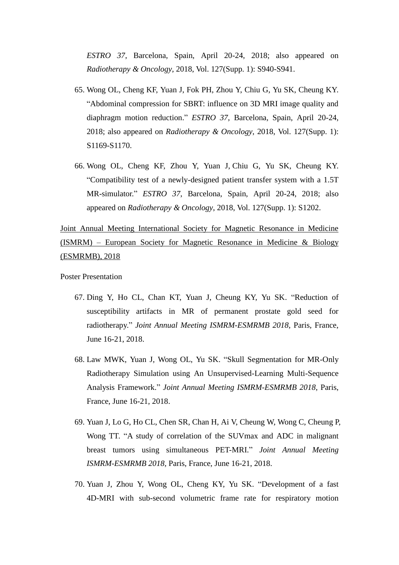*ESTRO 37*, Barcelona, Spain, April 20-24, 2018; also appeared on *Radiotherapy & Oncology*, 2018, Vol. 127(Supp. 1): S940-S941.

- 65. Wong OL, Cheng KF, Yuan J, Fok PH, Zhou Y, Chiu G, Yu SK, Cheung KY. "Abdominal compression for SBRT: influence on 3D MRI image quality and diaphragm motion reduction." *ESTRO 37*, Barcelona, Spain, April 20-24, 2018; also appeared on *Radiotherapy & Oncology*, 2018, Vol. 127(Supp. 1): S1169-S1170.
- 66. Wong OL, Cheng KF, Zhou Y, Yuan J, Chiu G, Yu SK, Cheung KY. "Compatibility test of a newly-designed patient transfer system with a 1.5T MR-simulator." *ESTRO 37*, Barcelona, Spain, April 20-24, 2018; also appeared on *Radiotherapy & Oncology*, 2018, Vol. 127(Supp. 1): S1202.

Joint Annual Meeting International Society for Magnetic Resonance in Medicine (ISMRM) – European Society for Magnetic Resonance in Medicine & Biology (ESMRMB), 2018

- 67. Ding Y, Ho CL, Chan KT, Yuan J, Cheung KY, Yu SK. "Reduction of susceptibility artifacts in MR of permanent prostate gold seed for radiotherapy." *Joint Annual Meeting ISMRM-ESMRMB 2018*, Paris, France, June 16-21, 2018.
- 68. Law MWK, Yuan J, Wong OL, Yu SK. "Skull Segmentation for MR-Only Radiotherapy Simulation using An Unsupervised-Learning Multi-Sequence Analysis Framework." *Joint Annual Meeting ISMRM-ESMRMB 2018*, Paris, France, June 16-21, 2018.
- 69. Yuan J, Lo G, Ho CL, Chen SR, Chan H, Ai V, Cheung W, Wong C, Cheung P, Wong TT. "A study of correlation of the SUVmax and ADC in malignant breast tumors using simultaneous PET-MRI." *Joint Annual Meeting ISMRM-ESMRMB 2018*, Paris, France, June 16-21, 2018.
- 70. Yuan J, Zhou Y, Wong OL, Cheng KY, Yu SK. "Development of a fast 4D-MRI with sub-second volumetric frame rate for respiratory motion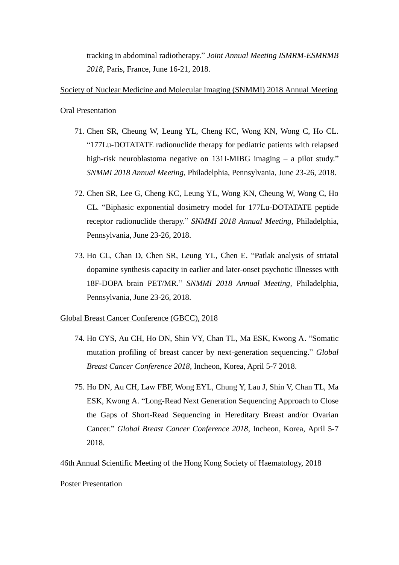tracking in abdominal radiotherapy." *Joint Annual Meeting ISMRM-ESMRMB 2018*, Paris, France, June 16-21, 2018.

## Society of Nuclear Medicine and Molecular Imaging (SNMMI) 2018 Annual Meeting

Oral Presentation

- 71. Chen SR, Cheung W, Leung YL, Cheng KC, Wong KN, Wong C, Ho CL. "177Lu-DOTATATE radionuclide therapy for pediatric patients with relapsed high-risk neuroblastoma negative on 131I-MIBG imaging – a pilot study." *SNMMI 2018 Annual Meeting,* Philadelphia, Pennsylvania, June 23-26, 2018.
- 72. Chen SR, Lee G, Cheng KC, Leung YL, Wong KN, Cheung W, Wong C, Ho CL. "Biphasic exponential dosimetry model for 177Lu-DOTATATE peptide receptor radionuclide therapy." *SNMMI 2018 Annual Meeting,* Philadelphia, Pennsylvania, June 23-26, 2018.
- 73. Ho CL, Chan D, Chen SR, Leung YL, Chen E. "Patlak analysis of striatal dopamine synthesis capacity in earlier and later-onset psychotic illnesses with 18F-DOPA brain PET/MR." *SNMMI 2018 Annual Meeting,* Philadelphia, Pennsylvania, June 23-26, 2018.

## Global Breast Cancer Conference (GBCC), 2018

- 74. Ho CYS, Au CH, Ho DN, Shin VY, Chan TL, Ma ESK, Kwong A. "Somatic mutation profiling of breast cancer by next-generation sequencing." *Global Breast Cancer Conference 2018*, Incheon, Korea, April 5-7 2018.
- 75. Ho DN, Au CH, Law FBF, Wong EYL, Chung Y, Lau J, Shin V, Chan TL, Ma ESK, Kwong A. "Long-Read Next Generation Sequencing Approach to Close the Gaps of Short-Read Sequencing in Hereditary Breast and/or Ovarian Cancer." *Global Breast Cancer Conference 2018*, Incheon, Korea, April 5-7 2018.

## 46th Annual Scientific Meeting of the Hong Kong Society of Haematology, 2018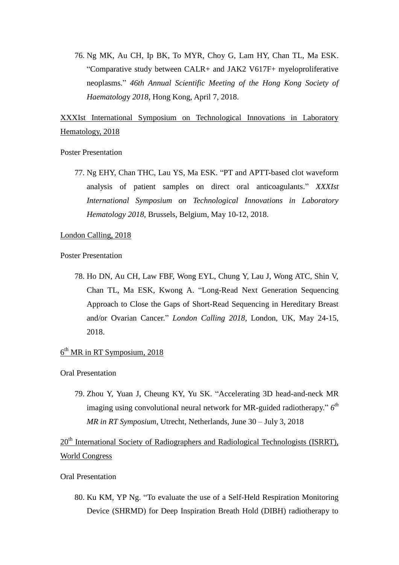76. Ng MK, Au CH, Ip BK, To MYR, Choy G, Lam HY, Chan TL, Ma ESK. "Comparative study between CALR+ and JAK2 V617F+ myeloproliferative neoplasms." *46th Annual Scientific Meeting of the Hong Kong Society of Haematolog*y *2018*, Hong Kong, April 7, 2018.

# XXXIst International Symposium on Technological Innovations in Laboratory Hematology, 2018

#### Poster Presentation

77. Ng EHY, Chan THC, Lau YS, Ma ESK. "PT and APTT-based clot waveform analysis of patient samples on direct oral anticoagulants." *XXXIst International Symposium on Technological Innovations in Laboratory Hematology 2018*, Brussels, Belgium, May 10-12, 2018.

#### London Calling, 2018

Poster Presentation

78. Ho DN, Au CH, Law FBF, Wong EYL, Chung Y, Lau J, Wong ATC, Shin V, Chan TL, Ma ESK, Kwong A. "Long-Read Next Generation Sequencing Approach to Close the Gaps of Short-Read Sequencing in Hereditary Breast and/or Ovarian Cancer." *London Calling 2018*, London, UK, May 24-15, 2018.

# $6<sup>th</sup> MR$  in RT Symposium, 2018

#### Oral Presentation

79. Zhou Y, Yuan J, Cheung KY, Yu SK. "Accelerating 3D head-and-neck MR imaging using convolutional neural network for MR-guided radiotherapy." *6 th MR in RT Symposium*, Utrecht, Netherlands, June 30 – July 3, 2018

20<sup>th</sup> International Society of Radiographers and Radiological Technologists (ISRRT), World Congress

#### Oral Presentation

80. Ku KM, YP Ng. "To evaluate the use of a Self-Held Respiration Monitoring Device (SHRMD) for Deep Inspiration Breath Hold (DIBH) radiotherapy to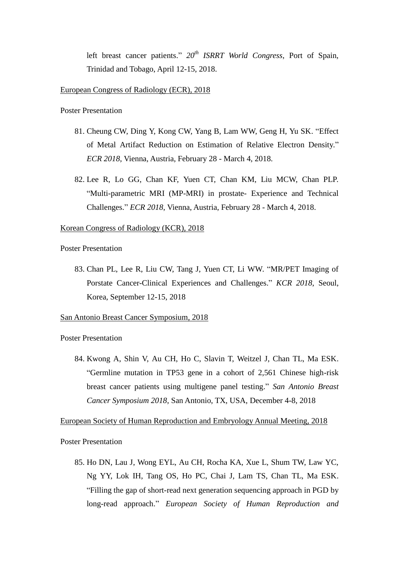left breast cancer patients." *20th ISRRT World Congress*, Port of Spain, Trinidad and Tobago, April 12-15, 2018.

#### European Congress of Radiology (ECR), 2018

#### Poster Presentation

- 81. Cheung CW, Ding Y, Kong CW, Yang B, Lam WW, Geng H, Yu SK. "Effect of Metal Artifact Reduction on Estimation of Relative Electron Density." *ECR 2018*, Vienna, Austria, February 28 - March 4, 2018.
- 82. Lee R, Lo GG, Chan KF, Yuen CT, Chan KM, Liu MCW, Chan PLP. "Multi-parametric MRI (MP-MRI) in prostate- Experience and Technical Challenges." *ECR 2018*, Vienna, Austria, February 28 - March 4, 2018.

#### Korean Congress of Radiology (KCR), 2018

#### Poster Presentation

83. Chan PL, Lee R, Liu CW, Tang J, Yuen CT, Li WW. "MR/PET Imaging of Porstate Cancer-Clinical Experiences and Challenges." *KCR 2018*, Seoul, Korea, September 12-15, 2018

### San Antonio Breast Cancer Symposium, 2018

#### Poster Presentation

84. Kwong A, Shin V, Au CH, Ho C, Slavin T, Weitzel J, Chan TL, Ma ESK. "Germline mutation in TP53 gene in a cohort of 2,561 Chinese high-risk breast cancer patients using multigene panel testing." *San Antonio Breast Cancer Symposium 2018*, San Antonio, TX, USA, December 4-8, 2018

#### European Society of Human Reproduction and Embryology Annual Meeting, 2018

Poster Presentation

85. Ho DN, Lau J, Wong EYL, Au CH, Rocha KA, Xue L, Shum TW, Law YC, Ng YY, Lok IH, Tang OS, Ho PC, Chai J, Lam TS, Chan TL, Ma ESK. "Filling the gap of short-read next generation sequencing approach in PGD by long-read approach." *European Society of Human Reproduction and*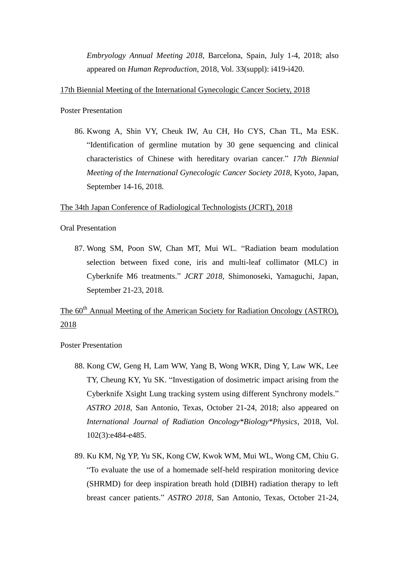*Embryology Annual Meeting 2018*, Barcelona, Spain, July 1-4, 2018; also appeared on *Human Reproduction*, 2018, Vol. 33(suppl): i419-i420.

#### 17th Biennial Meeting of the International Gynecologic Cancer Society, 2018

Poster Presentation

86. Kwong A, Shin VY, Cheuk IW, Au CH, Ho CYS, Chan TL, Ma ESK. "Identification of germline mutation by 30 gene sequencing and clinical characteristics of Chinese with hereditary ovarian cancer." *17th Biennial Meeting of the International Gynecologic Cancer Society 2018*, Kyoto, Japan, September 14-16, 2018.

#### The 34th Japan Conference of Radiological Technologists (JCRT), 2018

#### Oral Presentation

87. Wong SM, Poon SW, Chan MT, Mui WL. "Radiation beam modulation selection between fixed cone, iris and multi-leaf collimator (MLC) in Cyberknife M6 treatments." *JCRT 2018*, Shimonoseki, Yamaguchi, Japan, September 21-23, 2018.

# The 60<sup>th</sup> Annual Meeting of the American Society for Radiation Oncology (ASTRO), 2018

- 88. Kong CW, Geng H, Lam WW, Yang B, Wong WKR, Ding Y, Law WK, Lee TY, Cheung KY, Yu SK. "Investigation of dosimetric impact arising from the Cyberknife Xsight Lung tracking system using different Synchrony models." *ASTRO 2018*, San Antonio, Texas, October 21-24, 2018; also appeared on *International Journal of Radiation Oncology\*Biology\*Physics*, 2018, Vol. 102(3):e484-e485.
- 89. Ku KM, Ng YP, Yu SK, Kong CW, Kwok WM, Mui WL, Wong CM, Chiu G. "To evaluate the use of a homemade self-held respiration monitoring device (SHRMD) for deep inspiration breath hold (DIBH) radiation therapy to left breast cancer patients." *ASTRO 2018*, San Antonio, Texas, October 21-24,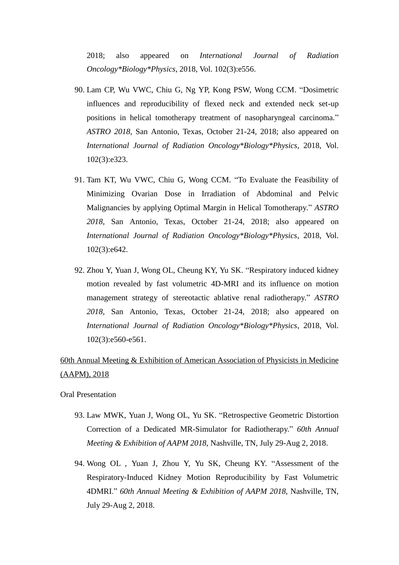2018; also appeared on *International Journal of Radiation Oncology\*Biology\*Physics*, 2018, Vol. 102(3):e556.

- 90. Lam CP, Wu VWC, Chiu G, Ng YP, Kong PSW, Wong CCM. "Dosimetric influences and reproducibility of flexed neck and extended neck set-up positions in helical tomotherapy treatment of nasopharyngeal carcinoma." *ASTRO 2018*, San Antonio, Texas, October 21-24, 2018; also appeared on *International Journal of Radiation Oncology\*Biology\*Physics*, 2018, Vol. 102(3):e323.
- 91. Tam KT, Wu VWC, Chiu G, Wong CCM. "To Evaluate the Feasibility of Minimizing Ovarian Dose in Irradiation of Abdominal and Pelvic Malignancies by applying Optimal Margin in Helical Tomotherapy." *ASTRO 2018*, San Antonio, Texas, October 21-24, 2018; also appeared on *International Journal of Radiation Oncology\*Biology\*Physics*, 2018, Vol. 102(3):e642.
- 92. Zhou Y, Yuan J, Wong OL, Cheung KY, Yu SK. "Respiratory induced kidney motion revealed by fast volumetric 4D-MRI and its influence on motion management strategy of stereotactic ablative renal radiotherapy." *ASTRO 2018*, San Antonio, Texas, October 21-24, 2018; also appeared on *International Journal of Radiation Oncology\*Biology\*Physics*, 2018, Vol. 102(3):e560-e561.

# 60th Annual Meeting & Exhibition of American Association of Physicists in Medicine (AAPM), 2018

Oral Presentation

- 93. Law MWK, Yuan J, Wong OL, Yu SK. "Retrospective Geometric Distortion Correction of a Dedicated MR-Simulator for Radiotherapy." *60th Annual Meeting & Exhibition of AAPM 2018*, Nashville, TN, July 29-Aug 2, 2018.
- 94. Wong OL , Yuan J, Zhou Y, Yu SK, Cheung KY. "Assessment of the Respiratory-Induced Kidney Motion Reproducibility by Fast Volumetric 4DMRI." *60th Annual Meeting & Exhibition of AAPM 2018*, Nashville, TN, July 29-Aug 2, 2018.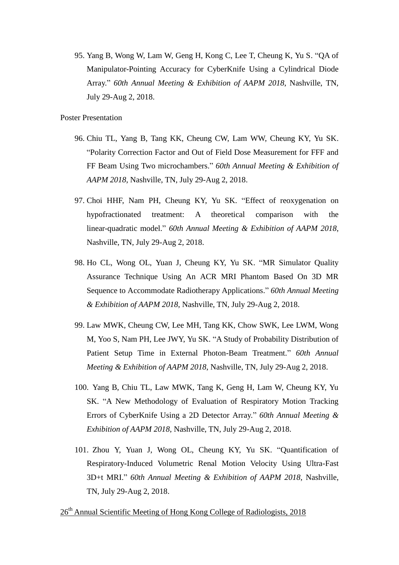95. Yang B, Wong W, Lam W, Geng H, Kong C, Lee T, Cheung K, Yu S. "QA of Manipulator-Pointing Accuracy for CyberKnife Using a Cylindrical Diode Array." *60th Annual Meeting & Exhibition of AAPM 2018*, Nashville, TN, July 29-Aug 2, 2018.

Poster Presentation

- 96. Chiu TL, Yang B, Tang KK, Cheung CW, Lam WW, Cheung KY, Yu SK. "Polarity Correction Factor and Out of Field Dose Measurement for FFF and FF Beam Using Two microchambers." *60th Annual Meeting & Exhibition of AAPM 2018*, Nashville, TN, July 29-Aug 2, 2018.
- 97. Choi HHF, Nam PH, Cheung KY, Yu SK. "Effect of reoxygenation on hypofractionated treatment: A theoretical comparison with the linear-quadratic model." *60th Annual Meeting & Exhibition of AAPM 2018*, Nashville, TN, July 29-Aug 2, 2018.
- 98. Ho CL, Wong OL, Yuan J, Cheung KY, Yu SK. "MR Simulator Quality Assurance Technique Using An ACR MRI Phantom Based On 3D MR Sequence to Accommodate Radiotherapy Applications." *60th Annual Meeting & Exhibition of AAPM 2018*, Nashville, TN, July 29-Aug 2, 2018.
- 99. Law MWK, Cheung CW, Lee MH, Tang KK, Chow SWK, Lee LWM, Wong M, Yoo S, Nam PH, Lee JWY, Yu SK. "A Study of Probability Distribution of Patient Setup Time in External Photon-Beam Treatment." *60th Annual Meeting & Exhibition of AAPM 2018*, Nashville, TN, July 29-Aug 2, 2018.
- 100. Yang B, Chiu TL, Law MWK, Tang K, Geng H, Lam W, Cheung KY, Yu SK. "A New Methodology of Evaluation of Respiratory Motion Tracking Errors of CyberKnife Using a 2D Detector Array." *60th Annual Meeting & Exhibition of AAPM 2018*, Nashville, TN, July 29-Aug 2, 2018.
- 101. Zhou Y, Yuan J, Wong OL, Cheung KY, Yu SK. "Quantification of Respiratory-Induced Volumetric Renal Motion Velocity Using Ultra-Fast 3D+t MRI." *60th Annual Meeting & Exhibition of AAPM 2018*, Nashville, TN, July 29-Aug 2, 2018.

26<sup>th</sup> Annual Scientific Meeting of Hong Kong College of Radiologists, 2018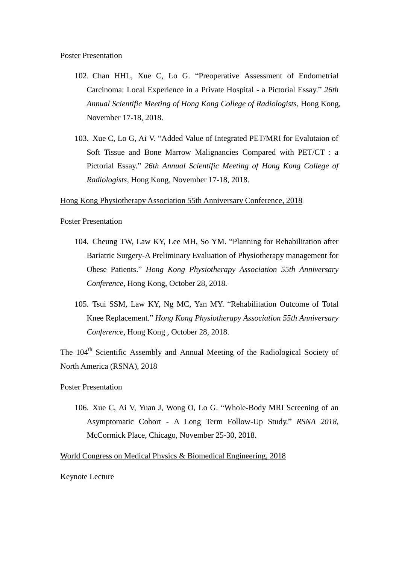Poster Presentation

- 102. Chan HHL, Xue C, Lo G. "Preoperative Assessment of Endometrial Carcinoma: Local Experience in a Private Hospital - a Pictorial Essay." *26th Annual Scientific Meeting of Hong Kong College of Radiologists*, Hong Kong, November 17-18, 2018.
- 103. Xue C, Lo G, Ai V. "Added Value of Integrated PET/MRI for Evalutaion of Soft Tissue and Bone Marrow Malignancies Compared with PET/CT : a Pictorial Essay." *26th Annual Scientific Meeting of Hong Kong College of Radiologists*, Hong Kong, November 17-18, 2018.

#### Hong Kong Physiotherapy Association 55th Anniversary Conference, 2018

Poster Presentation

- 104. Cheung TW, Law KY, Lee MH, So YM. "Planning for Rehabilitation after Bariatric Surgery-A Preliminary Evaluation of Physiotherapy management for Obese Patients." *Hong Kong Physiotherapy Association 55th Anniversary Conference*, Hong Kong, October 28, 2018.
- 105. Tsui SSM, Law KY, Ng MC, Yan MY. "Rehabilitation Outcome of Total Knee Replacement." *Hong Kong Physiotherapy Association 55th Anniversary Conference*, Hong Kong , October 28, 2018.

The 104<sup>th</sup> Scientific Assembly and Annual Meeting of the Radiological Society of North America (RSNA), 2018

Poster Presentation

106. Xue C, Ai V, Yuan J, Wong O, Lo G. "Whole-Body MRI Screening of an Asymptomatic Cohort - A Long Term Follow-Up Study." *RSNA 2018*, McCormick Place, Chicago, November 25-30, 2018.

#### World Congress on Medical Physics & Biomedical Engineering, 2018

Keynote Lecture